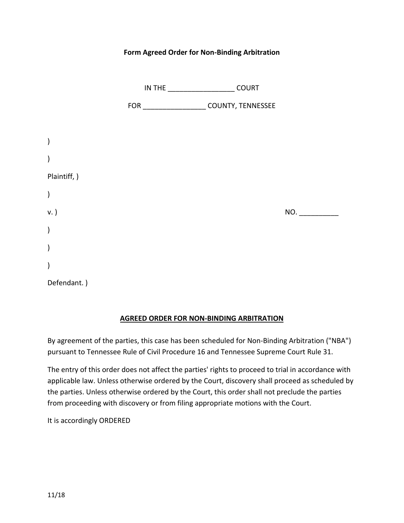#### **Form Agreed Order for Non-Binding Arbitration**

|               | <b>COURT</b>      |     |
|---------------|-------------------|-----|
|               | COUNTY, TENNESSEE |     |
|               |                   |     |
| $\lambda$     |                   |     |
| $\mathcal{E}$ |                   |     |
| Plaintiff, )  |                   |     |
| $\big)$       |                   |     |
| v. )          |                   | NO. |
| $\big)$       |                   |     |
| $\lambda$     |                   |     |
| $\lambda$     |                   |     |
| Defendant.)   |                   |     |

# **AGREED ORDER FOR NON-BINDING ARBITRATION**

By agreement of the parties, this case has been scheduled for Non-Binding Arbitration ("NBA") pursuant to Tennessee Rule of Civil Procedure 16 and Tennessee Supreme Court Rule 31.

The entry of this order does not affect the parties' rights to proceed to trial in accordance with applicable law. Unless otherwise ordered by the Court, discovery shall proceed as scheduled by the parties. Unless otherwise ordered by the Court, this order shall not preclude the parties from proceeding with discovery or from filing appropriate motions with the Court.

It is accordingly ORDERED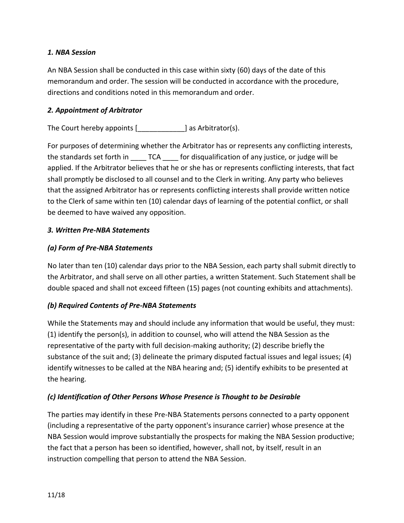#### *1. NBA Session*

An NBA Session shall be conducted in this case within sixty (60) days of the date of this memorandum and order. The session will be conducted in accordance with the procedure, directions and conditions noted in this memorandum and order.

### *2. Appointment of Arbitrator*

The Court hereby appoints [\_\_\_\_\_\_\_\_\_\_\_\_] as Arbitrator(s).

For purposes of determining whether the Arbitrator has or represents any conflicting interests, the standards set forth in TCA for disqualification of any justice, or judge will be applied. If the Arbitrator believes that he or she has or represents conflicting interests, that fact shall promptly be disclosed to all counsel and to the Clerk in writing. Any party who believes that the assigned Arbitrator has or represents conflicting interests shall provide written notice to the Clerk of same within ten (10) calendar days of learning of the potential conflict, or shall be deemed to have waived any opposition.

## *3. Written Pre-NBA Statements*

## *(a) Form of Pre-NBA Statements*

No later than ten (10) calendar days prior to the NBA Session, each party shall submit directly to the Arbitrator, and shall serve on all other parties, a written Statement. Such Statement shall be double spaced and shall not exceed fifteen (15) pages (not counting exhibits and attachments).

#### *(b) Required Contents of Pre-NBA Statements*

While the Statements may and should include any information that would be useful, they must: (1) identify the person(s), in addition to counsel, who will attend the NBA Session as the representative of the party with full decision-making authority; (2) describe briefly the substance of the suit and; (3) delineate the primary disputed factual issues and legal issues; (4) identify witnesses to be called at the NBA hearing and; (5) identify exhibits to be presented at the hearing.

#### *(c) Identification of Other Persons Whose Presence is Thought to be Desirable*

The parties may identify in these Pre-NBA Statements persons connected to a party opponent (including a representative of the party opponent's insurance carrier) whose presence at the NBA Session would improve substantially the prospects for making the NBA Session productive; the fact that a person has been so identified, however, shall not, by itself, result in an instruction compelling that person to attend the NBA Session.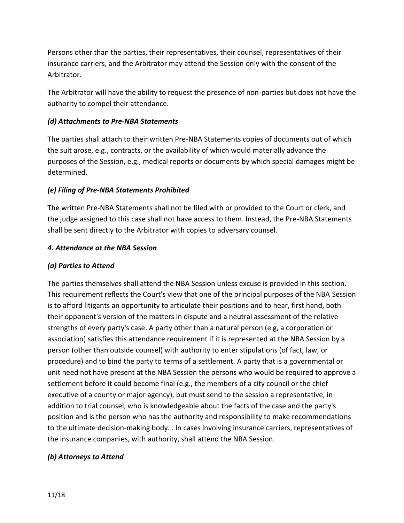Persons other than the parties, their representatives, their counsel, representatives of their insurance carriers, and the Arbitrator may attend the Session only with the consent of the Arbitrator.

The Arbitrator will have the ability to request the presence of non-parties but does not have the authority to compel their attendance.

## *(d) Attachments to Pre-NBA Statements*

The parties shall attach to their written Pre-NBA Statements copies of documents out of which the suit arose, e.g., contracts, or the availability of which would materially advance the purposes of the Session, e.g., medical reports or documents by which special damages might be determined.

## *(e) Filing of Pre-NBA Statements Prohibited*

The written Pre-NBA Statements shall not be filed with or provided to the Court or clerk, and the judge assigned to this case shall not have access to them. Instead, the Pre-NBA Statements shall be sent directly to the Arbitrator with copies to adversary counsel.

#### *4. Attendance at the NBA Session*

### *(a) Parties to Attend*

The parties themselves shall attend the NBA Session unless excuse is provided in this section. This requirement reflects the Court's view that one of the principal purposes of the NBA Session is to afford litigants an opportunity to articulate their positions and to hear, first hand, both their opponent's version of the matters in dispute and a neutral assessment of the relative strengths of every party's case. A party other than a natural person (e g, a corporation or association) satisfies this attendance requirement if it is represented at the NBA Session by a person (other than outside counsel) with authority to enter stipulations (of fact, law, or procedure) and to bind the party to terms of a settlement. A party that is a governmental or unit need not have present at the NBA Session the persons who would be required to approve a settlement before it could become final (e.g., the members of a city council or the chief executive of a county or major agency), but must send to the session a representative, in addition to trial counsel, who is knowledgeable about the facts of the case and the party's position and is the person who has the authority and responsibility to make recommendations to the ultimate decision-making body. . In cases involving insurance carriers, representatives of the insurance companies, with authority, shall attend the NBA Session.

#### *(b) Attorneys to Attend*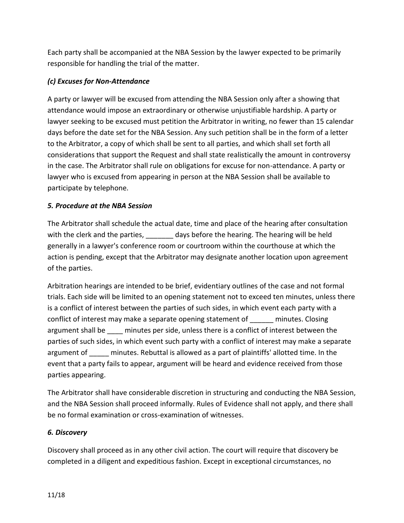Each party shall be accompanied at the NBA Session by the lawyer expected to be primarily responsible for handling the trial of the matter.

## *(c) Excuses for Non-Attendance*

A party or lawyer will be excused from attending the NBA Session only after a showing that attendance would impose an extraordinary or otherwise unjustifiable hardship. A party or lawyer seeking to be excused must petition the Arbitrator in writing, no fewer than 15 calendar days before the date set for the NBA Session. Any such petition shall be in the form of a letter to the Arbitrator, a copy of which shall be sent to all parties, and which shall set forth all considerations that support the Request and shall state realistically the amount in controversy in the case. The Arbitrator shall rule on obligations for excuse for non-attendance. A party or lawyer who is excused from appearing in person at the NBA Session shall be available to participate by telephone.

## *5. Procedure at the NBA Session*

The Arbitrator shall schedule the actual date, time and place of the hearing after consultation with the clerk and the parties, and the states of any shefore the hearing. The hearing will be held generally in a lawyer's conference room or courtroom within the courthouse at which the action is pending, except that the Arbitrator may designate another location upon agreement of the parties.

Arbitration hearings are intended to be brief, evidentiary outlines of the case and not formal trials. Each side will be limited to an opening statement not to exceed ten minutes, unless there is a conflict of interest between the parties of such sides, in which event each party with a conflict of interest may make a separate opening statement of \_\_\_\_\_\_ minutes. Closing argument shall be minutes per side, unless there is a conflict of interest between the parties of such sides, in which event such party with a conflict of interest may make a separate argument of minutes. Rebuttal is allowed as a part of plaintiffs' allotted time. In the event that a party fails to appear, argument will be heard and evidence received from those parties appearing.

The Arbitrator shall have considerable discretion in structuring and conducting the NBA Session, and the NBA Session shall proceed informally. Rules of Evidence shall not apply, and there shall be no formal examination or cross-examination of witnesses.

#### *6. Discovery*

Discovery shall proceed as in any other civil action. The court will require that discovery be completed in a diligent and expeditious fashion. Except in exceptional circumstances, no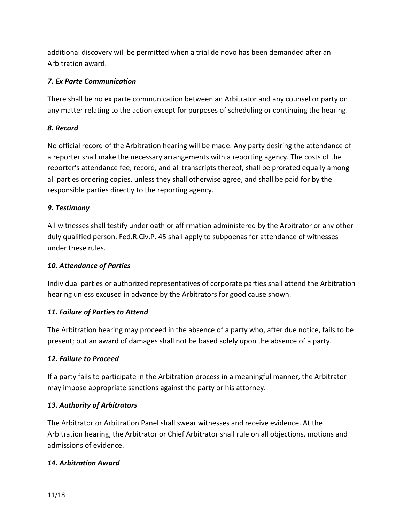additional discovery will be permitted when a trial de novo has been demanded after an Arbitration award.

### *7. Ex Parte Communication*

There shall be no ex parte communication between an Arbitrator and any counsel or party on any matter relating to the action except for purposes of scheduling or continuing the hearing.

## *8. Record*

No official record of the Arbitration hearing will be made. Any party desiring the attendance of a reporter shall make the necessary arrangements with a reporting agency. The costs of the reporter's attendance fee, record, and all transcripts thereof, shall be prorated equally among all parties ordering copies, unless they shall otherwise agree, and shall be paid for by the responsible parties directly to the reporting agency.

## *9. Testimony*

All witnesses shall testify under oath or affirmation administered by the Arbitrator or any other duly qualified person. Fed.R.Civ.P. 45 shall apply to subpoenas for attendance of witnesses under these rules.

### *10. Attendance of Parties*

Individual parties or authorized representatives of corporate parties shall attend the Arbitration hearing unless excused in advance by the Arbitrators for good cause shown.

# *11. Failure of Parties to Attend*

The Arbitration hearing may proceed in the absence of a party who, after due notice, fails to be present; but an award of damages shall not be based solely upon the absence of a party.

# *12. Failure to Proceed*

If a party fails to participate in the Arbitration process in a meaningful manner, the Arbitrator may impose appropriate sanctions against the party or his attorney.

# *13. Authority of Arbitrators*

The Arbitrator or Arbitration Panel shall swear witnesses and receive evidence. At the Arbitration hearing, the Arbitrator or Chief Arbitrator shall rule on all objections, motions and admissions of evidence.

#### *14. Arbitration Award*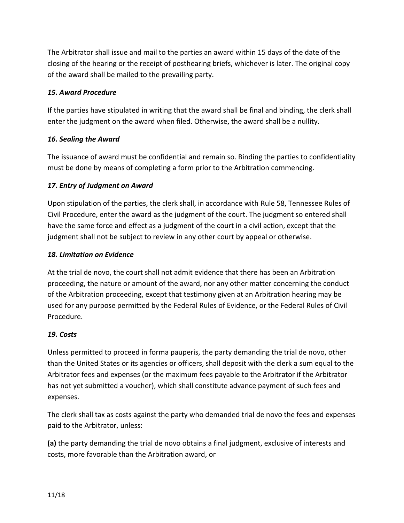The Arbitrator shall issue and mail to the parties an award within 15 days of the date of the closing of the hearing or the receipt of posthearing briefs, whichever is later. The original copy of the award shall be mailed to the prevailing party.

## *15. Award Procedure*

If the parties have stipulated in writing that the award shall be final and binding, the clerk shall enter the judgment on the award when filed. Otherwise, the award shall be a nullity.

## *16. Sealing the Award*

The issuance of award must be confidential and remain so. Binding the parties to confidentiality must be done by means of completing a form prior to the Arbitration commencing.

## *17. Entry of Judgment on Award*

Upon stipulation of the parties, the clerk shall, in accordance with Rule 58, Tennessee Rules of Civil Procedure, enter the award as the judgment of the court. The judgment so entered shall have the same force and effect as a judgment of the court in a civil action, except that the judgment shall not be subject to review in any other court by appeal or otherwise.

## *18. Limitation on Evidence*

At the trial de novo, the court shall not admit evidence that there has been an Arbitration proceeding, the nature or amount of the award, nor any other matter concerning the conduct of the Arbitration proceeding, except that testimony given at an Arbitration hearing may be used for any purpose permitted by the Federal Rules of Evidence, or the Federal Rules of Civil Procedure.

#### *19. Costs*

Unless permitted to proceed in forma pauperis, the party demanding the trial de novo, other than the United States or its agencies or officers, shall deposit with the clerk a sum equal to the Arbitrator fees and expenses (or the maximum fees payable to the Arbitrator if the Arbitrator has not yet submitted a voucher), which shall constitute advance payment of such fees and expenses.

The clerk shall tax as costs against the party who demanded trial de novo the fees and expenses paid to the Arbitrator, unless:

**(a)** the party demanding the trial de novo obtains a final judgment, exclusive of interests and costs, more favorable than the Arbitration award, or